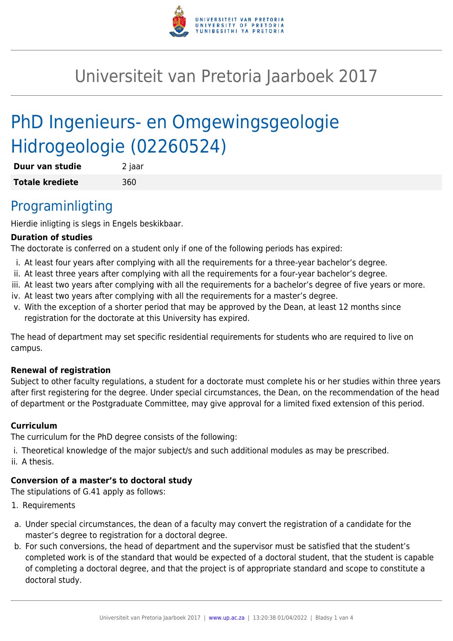

# Universiteit van Pretoria Jaarboek 2017

# PhD Ingenieurs- en Omgewingsgeologie Hidrogeologie (02260524)

| Duur van studie        | 2 jaar |
|------------------------|--------|
| <b>Totale krediete</b> | 360    |

# Programinligting

Hierdie inligting is slegs in Engels beskikbaar.

#### **Duration of studies**

The doctorate is conferred on a student only if one of the following periods has expired:

- i. At least four years after complying with all the requirements for a three-year bachelor's degree.
- ii. At least three years after complying with all the requirements for a four-year bachelor's degree.
- iii. At least two years after complying with all the requirements for a bachelor's degree of five years or more.
- iv. At least two years after complying with all the requirements for a master's degree.
- v. With the exception of a shorter period that may be approved by the Dean, at least 12 months since registration for the doctorate at this University has expired.

The head of department may set specific residential requirements for students who are required to live on campus.

#### **Renewal of registration**

Subject to other faculty regulations, a student for a doctorate must complete his or her studies within three years after first registering for the degree. Under special circumstances, the Dean, on the recommendation of the head of department or the Postgraduate Committee, may give approval for a limited fixed extension of this period.

#### **Curriculum**

The curriculum for the PhD degree consists of the following:

- i. Theoretical knowledge of the major subject/s and such additional modules as may be prescribed.
- ii. A thesis.

### **Conversion of a master's to doctoral study**

The stipulations of G.41 apply as follows:

- 1. Requirements
- a. Under special circumstances, the dean of a faculty may convert the registration of a candidate for the master's degree to registration for a doctoral degree.
- b. For such conversions, the head of department and the supervisor must be satisfied that the student's completed work is of the standard that would be expected of a doctoral student, that the student is capable of completing a doctoral degree, and that the project is of appropriate standard and scope to constitute a doctoral study.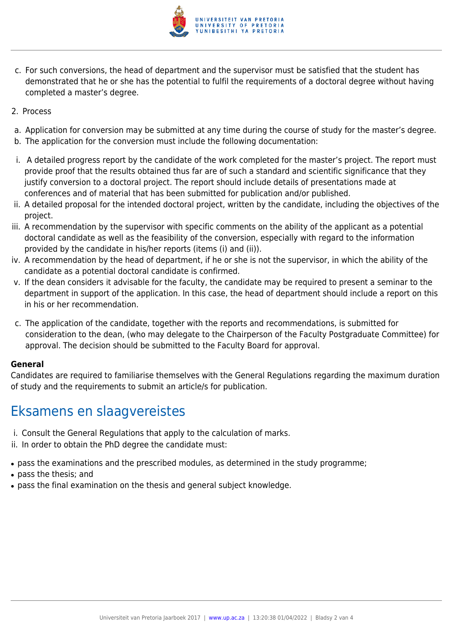

- c. For such conversions, the head of department and the supervisor must be satisfied that the student has demonstrated that he or she has the potential to fulfil the requirements of a doctoral degree without having completed a master's degree.
- 2. Process
- a. Application for conversion may be submitted at any time during the course of study for the master's degree.
- b. The application for the conversion must include the following documentation:
- i. A detailed progress report by the candidate of the work completed for the master's project. The report must provide proof that the results obtained thus far are of such a standard and scientific significance that they justify conversion to a doctoral project. The report should include details of presentations made at conferences and of material that has been submitted for publication and/or published.
- ii. A detailed proposal for the intended doctoral project, written by the candidate, including the objectives of the project.
- iii. A recommendation by the supervisor with specific comments on the ability of the applicant as a potential doctoral candidate as well as the feasibility of the conversion, especially with regard to the information provided by the candidate in his/her reports (items (i) and (ii)).
- iv. A recommendation by the head of department, if he or she is not the supervisor, in which the ability of the candidate as a potential doctoral candidate is confirmed.
- v. If the dean considers it advisable for the faculty, the candidate may be required to present a seminar to the department in support of the application. In this case, the head of department should include a report on this in his or her recommendation.
- c. The application of the candidate, together with the reports and recommendations, is submitted for consideration to the dean, (who may delegate to the Chairperson of the Faculty Postgraduate Committee) for approval. The decision should be submitted to the Faculty Board for approval.

#### **General**

Candidates are required to familiarise themselves with the General Regulations regarding the maximum duration of study and the requirements to submit an article/s for publication.

# Eksamens en slaagvereistes

- i. Consult the General Regulations that apply to the calculation of marks.
- ii. In order to obtain the PhD degree the candidate must:
- pass the examinations and the prescribed modules, as determined in the study programme;
- pass the thesis; and
- pass the final examination on the thesis and general subject knowledge.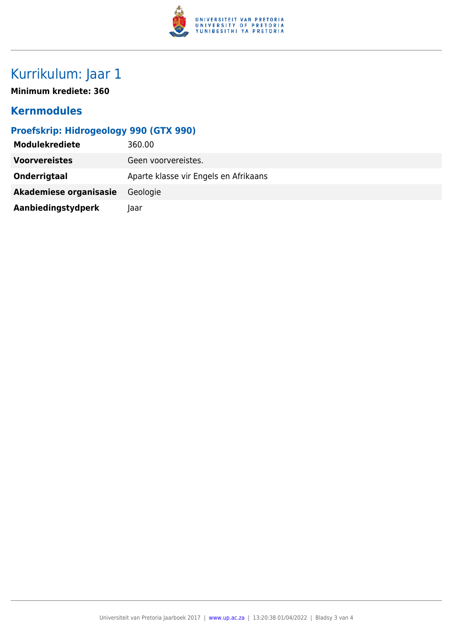

# Kurrikulum: Jaar 1

**Minimum krediete: 360**

## **Kernmodules**

### **Proefskrip: Hidrogeology 990 (GTX 990)**

| <b>Modulekrediete</b>  | 360.00                                |
|------------------------|---------------------------------------|
| <b>Voorvereistes</b>   | Geen voorvereistes.                   |
| Onderrigtaal           | Aparte klasse vir Engels en Afrikaans |
| Akademiese organisasie | Geologie                              |
| Aanbiedingstydperk     | laar                                  |